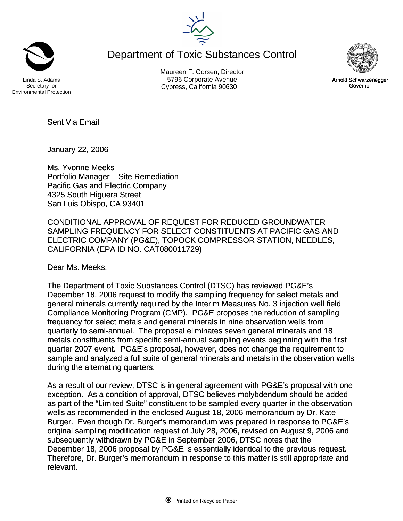Department of Toxic Substances Control



Maureen F. Gorsen, Director Linda S. Adams **Example 20** Corporate Avenue Christian Avenue 5796 Corporate Avenue Cypress, California 90630 **Canadian Cypress**, California 90630

Secretary for Environmental Protection

January 22, 2006

Sent Via Email

Ms. Yvonne Meeks Portfolio Manager – Site Remediation Pacific Gas and Electric Company 4325 South Higuera Street San Luis Obispo, CA 93401

CONDITIONAL APPROVAL OF REQUEST FOR REDUCED GROUNDWATER SAMPLING FREQUENCY FOR SELECT CONSTITUENTS AT PACIFIC GAS AND ELECTRIC COMPANY (PG&E), TOPOCK COMPRESSOR STATION, NEEDLES, CALIFORNIA (EPA ID NO. CAT080011729)

Dear Ms. Meeks,

The Department of Toxic Substances Control (DTSC) has reviewed PG&E's December 18, 2006 request to modify the sampling frequency for select metals and general minerals currently required by the Interim Measures No. 3 injection well field Compliance Monitoring Program (CMP). PG&E proposes the reduction of sampling frequency for select metals and general minerals in nine observation wells from quarterly to semi-annual. The proposal eliminates seven general minerals and 18 metals constituents from specific semi-annual sampling events beginning with the first quarter 2007 event. PG&E's proposal, however, does not change the requirement to sample and analyzed a full suite of general minerals and metals in the observation wells during the alternating quarters.

As a result of our review, DTSC is in general agreement with PG&E's proposal with one exception. As a condition of approval, DTSC believes molybdendum should be added as part of the "Limited Suite" constituent to be sampled every quarter in the observation wells as recommended in the enclosed August 18, 2006 memorandum by Dr. Kate Burger. Even though Dr. Burger's memorandum was prepared in response to PG&E's original sampling modification request of July 28, 2006, revised on August 9, 2006 and subsequently withdrawn by PG&E in September 2006, DTSC notes that the December 18, 2006 proposal by PG&E is essentially identical to the previous request. Therefore, Dr. Burger's memorandum in response to this matter is still appropriate and relevant.



Arnold Schwarzenegger Governor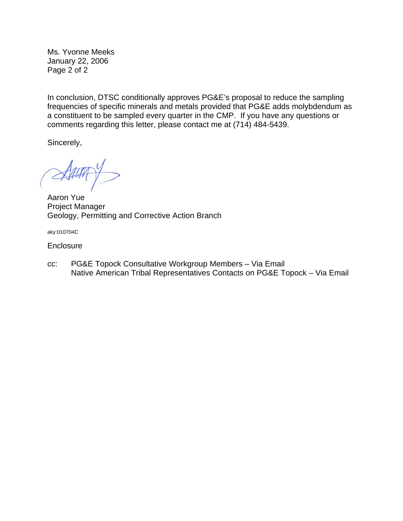Ms. Yvonne Meeks January 22, 2006 Page 2 of 2

In conclusion, DTSC conditionally approves PG&E's proposal to reduce the sampling frequencies of specific minerals and metals provided that PG&E adds molybdendum as a constituent to be sampled every quarter in the CMP. If you have any questions or comments regarding this letter, please contact me at (714) 484-5439.

Sincerely,

Aaron Yue Project Manager Geology, Permitting and Corrective Action Branch

aky:010704C

**Enclosure** 

cc: PG&E Topock Consultative Workgroup Members – Via Email Native American Tribal Representatives Contacts on PG&E Topock – Via Email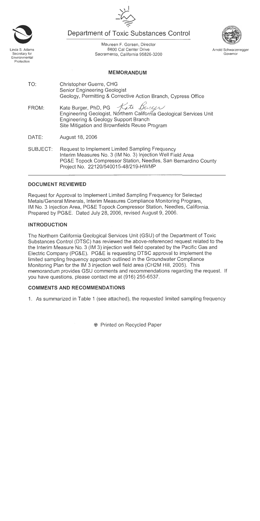Department of Toxic Substances Control

Maureen F. Gorsen, Director 8800 Cal Center Drive Sacramento, California 95826-3200

**MEMORANDUM** 

- TO: Christopher Guerre, CHG **Senior Engineering Geologist** Geology, Permitting & Corrective Action Branch, Cypress Office
- Kate Burger Kate Burger, PhD, PG FROM: Engineering Geologist, Northern California Geological Services Unit Engineering & Geology Support Branch Site Mitigation and Brownfields Reuse Program
- DATE: August 18, 2006
- Request to Implement Limited Sampling Frequency SUBJECT: Interim Measures No. 3 (IM No. 3) Injection Well Field Area PG&E Topock Compressor Station, Needles, San Bernardino County Project No. 22120/540015-48/219-HWMP

## **DOCUMENT REVIEWED**

Request for Approval to Implement Limited Sampling Frequency for Selected Metals/General Minerals, Interim Measures Compliance Monitoring Program. IM No. 3 Injection Area, PG&E Topock Compressor Station, Needles, California. Prepared by PG&E. Dated July 28, 2006, revised August 9, 2006.

# **INTRODUCTION**

The Northern California Geological Services Unit (GSU) of the Department of Toxic Substances Control (DTSC) has reviewed the above-referenced request related to the the Interim Measure No. 3 (IM 3) injection well field operated by the Pacific Gas and Electric Company (PG&E). PG&E is requesting DTSC approval to implement the limited sampling frequency approach outlined in the Groundwater Compliance Monitoring Plan for the IM 3 injection well field area (CH2M Hill, 2005). This memorandum provides GSU comments and recommendations regarding the request. If vou have questions, please contact me at (916) 255-6537.

# **COMMENTS AND RECOMMENDATIONS**

1. As summarized in Table 1 (see attached), the requested limited sampling frequency



Secretary for

Environmental Protection





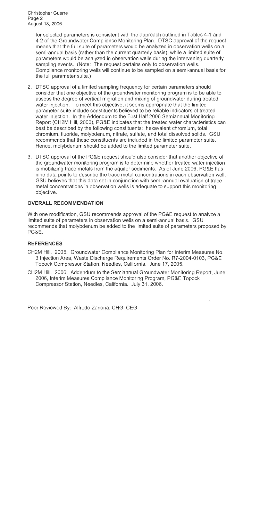**Christopher Guerre** Page 2 August 18, 2006

> for selected parameters is consistent with the approach outlined in Tables 4-1 and 4-2 of the Groundwater Compliance Monitoring Plan. DTSC approval of the request means that the full suite of parameters would be analyzed in observation wells on a semi-annual basis (rather than the current quarterly basis), while a limited suite of parameters would be analyzed in observation wells during the intervening quarterly sampling events. (Note: The request pertains only to observation wells. Compliance monitoring wells will continue to be sampled on a semi-annual basis for the full parameter suite.)

- 2. DTSC approval of a limited sampling frequency for certain parameters should consider that one objective of the groundwater monitoring program is to be able to assess the degree of vertical migration and mixing of groundwater during treated water injection. To meet this objective, it seems appropriate that the limited parameter suite include constituents believed to be reliable indicators of treated water injection. In the Addendum to the First Half 2006 Semiannual Monitoring Report (CH2M Hill, 2006), PG&E indicates that the treated water characteristics can best be described by the following constituents: hexavalent chromium, total chromium, fluoride, molybdenum, nitrate, sulfate, and total dissolved solids. GSU recommends that these constituents are included in the limited parameter suite. Hence, molybdenum should be added to the limited parameter suite.
- 3. DTSC approval of the PG&E request should also consider that another objective of the groundwater monitoring program is to determine whether treated water injection is mobilizing trace metals from the aquifer sediments. As of June 2006, PG&E has nine data points to describe the trace metal concentrations in each observation well. GSU believes that this data set in conjunction with semi-annual evaluation of trace metal concentrations in observation wells is adequate to support this monitoring objective.

### **OVERALL RECOMMENDATION**

With one modification, GSU recommends approval of the PG&E request to analyze a limited suite of parameters in observation wells on a semi-annual basis. GSU recommends that molybdenum be added to the limited suite of parameters proposed by **PG&E.** 

### **REFERENCES**

- CH2M Hill. 2005. Groundwater Compliance Monitoring Plan for Interim Measures No. 3 Injection Area, Waste Discharge Requirements Order No. R7-2004-0103, PG&E Topock Compressor Station, Needles, California. June 17, 2005.
- CH2M Hill. 2006. Addendum to the Semiannual Groundwater Monitoring Report, June 2006, Interim Measures Compliance Monitoring Program, PG&E Topock Compressor Station, Needles, California. July 31, 2006.